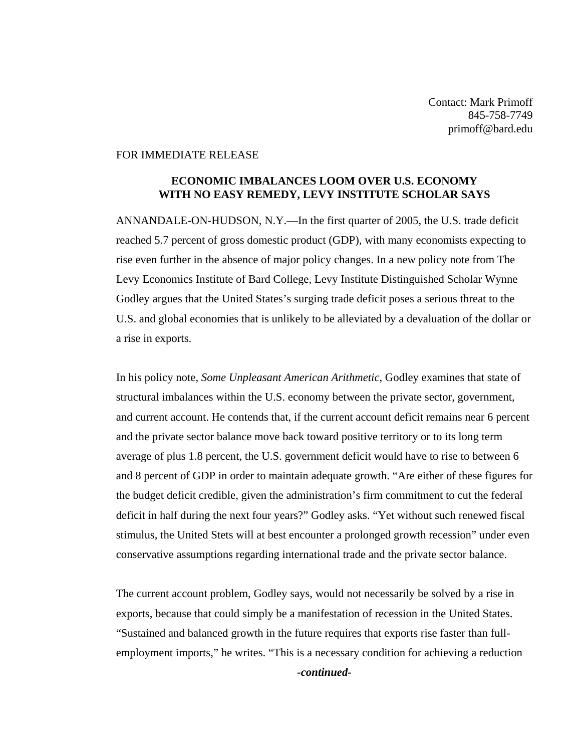## FOR IMMEDIATE RELEASE

## **ECONOMIC IMBALANCES LOOM OVER U.S. ECONOMY WITH NO EASY REMEDY, LEVY INSTITUTE SCHOLAR SAYS**

ANNANDALE-ON-HUDSON, N.Y.—In the first quarter of 2005, the U.S. trade deficit reached 5.7 percent of gross domestic product (GDP), with many economists expecting to rise even further in the absence of major policy changes. In a new policy note from The Levy Economics Institute of Bard College, Levy Institute Distinguished Scholar Wynne Godley argues that the United States's surging trade deficit poses a serious threat to the U.S. and global economies that is unlikely to be alleviated by a devaluation of the dollar or a rise in exports.

In his policy note, *Some Unpleasant American Arithmetic*, Godley examines that state of structural imbalances within the U.S. economy between the private sector, government, and current account. He contends that, if the current account deficit remains near 6 percent and the private sector balance move back toward positive territory or to its long term average of plus 1.8 percent, the U.S. government deficit would have to rise to between 6 and 8 percent of GDP in order to maintain adequate growth. "Are either of these figures for the budget deficit credible, given the administration's firm commitment to cut the federal deficit in half during the next four years?" Godley asks. "Yet without such renewed fiscal stimulus, the United Stets will at best encounter a prolonged growth recession" under even conservative assumptions regarding international trade and the private sector balance.

The current account problem, Godley says, would not necessarily be solved by a rise in exports, because that could simply be a manifestation of recession in the United States. "Sustained and balanced growth in the future requires that exports rise faster than fullemployment imports," he writes. "This is a necessary condition for achieving a reduction

*-continued-*